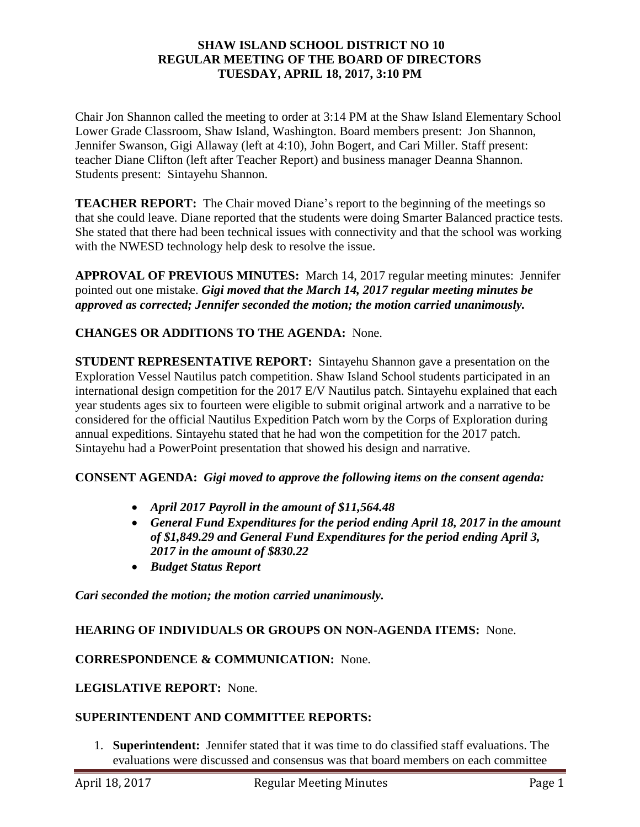### **SHAW ISLAND SCHOOL DISTRICT NO 10 REGULAR MEETING OF THE BOARD OF DIRECTORS TUESDAY, APRIL 18, 2017, 3:10 PM**

Chair Jon Shannon called the meeting to order at 3:14 PM at the Shaw Island Elementary School Lower Grade Classroom, Shaw Island, Washington. Board members present: Jon Shannon, Jennifer Swanson, Gigi Allaway (left at 4:10), John Bogert, and Cari Miller. Staff present: teacher Diane Clifton (left after Teacher Report) and business manager Deanna Shannon. Students present: Sintayehu Shannon.

**TEACHER REPORT:** The Chair moved Diane's report to the beginning of the meetings so that she could leave. Diane reported that the students were doing Smarter Balanced practice tests. She stated that there had been technical issues with connectivity and that the school was working with the NWESD technology help desk to resolve the issue.

**APPROVAL OF PREVIOUS MINUTES:** March 14, 2017 regular meeting minutes: Jennifer pointed out one mistake. *Gigi moved that the March 14, 2017 regular meeting minutes be approved as corrected; Jennifer seconded the motion; the motion carried unanimously.* 

# **CHANGES OR ADDITIONS TO THE AGENDA:** None.

**STUDENT REPRESENTATIVE REPORT:** Sintayehu Shannon gave a presentation on the Exploration Vessel Nautilus patch competition. Shaw Island School students participated in an international design competition for the 2017 E/V Nautilus patch. Sintayehu explained that each year students ages six to fourteen were eligible to submit original artwork and a narrative to be considered for the official Nautilus Expedition Patch worn by the Corps of Exploration during annual expeditions. Sintayehu stated that he had won the competition for the 2017 patch. Sintayehu had a PowerPoint presentation that showed his design and narrative.

### **CONSENT AGENDA:** *Gigi moved to approve the following items on the consent agenda:*

- *April 2017 Payroll in the amount of \$11,564.48*
- *General Fund Expenditures for the period ending April 18, 2017 in the amount of \$1,849.29 and General Fund Expenditures for the period ending April 3, 2017 in the amount of \$830.22*
- *Budget Status Report*

*Cari seconded the motion; the motion carried unanimously.*

### **HEARING OF INDIVIDUALS OR GROUPS ON NON-AGENDA ITEMS:** None.

#### **CORRESPONDENCE & COMMUNICATION:** None.

#### **LEGISLATIVE REPORT:** None.

### **SUPERINTENDENT AND COMMITTEE REPORTS:**

1. **Superintendent:** Jennifer stated that it was time to do classified staff evaluations. The evaluations were discussed and consensus was that board members on each committee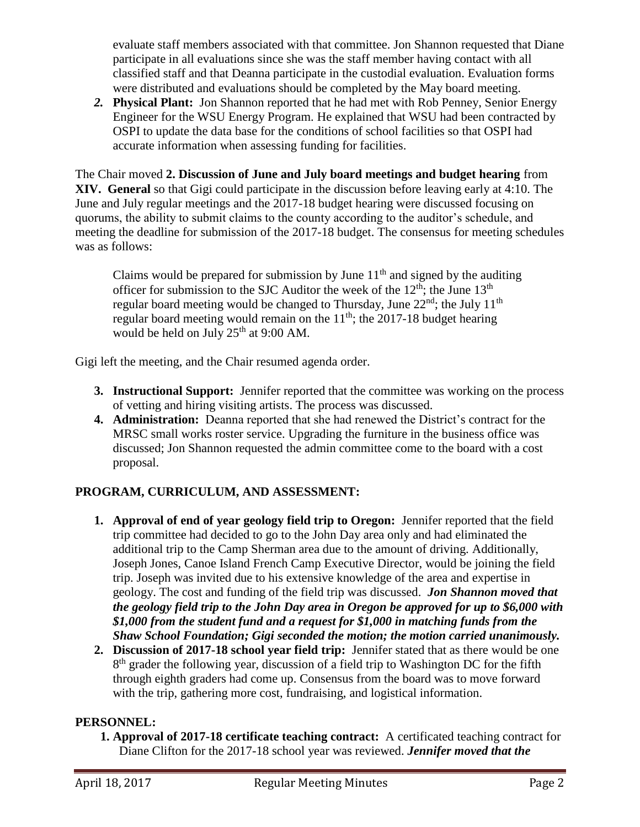evaluate staff members associated with that committee. Jon Shannon requested that Diane participate in all evaluations since she was the staff member having contact with all classified staff and that Deanna participate in the custodial evaluation. Evaluation forms were distributed and evaluations should be completed by the May board meeting.

*2.* **Physical Plant:** Jon Shannon reported that he had met with Rob Penney, Senior Energy Engineer for the WSU Energy Program. He explained that WSU had been contracted by OSPI to update the data base for the conditions of school facilities so that OSPI had accurate information when assessing funding for facilities.

The Chair moved **2. Discussion of June and July board meetings and budget hearing** from **XIV. General** so that Gigi could participate in the discussion before leaving early at 4:10. The June and July regular meetings and the 2017-18 budget hearing were discussed focusing on quorums, the ability to submit claims to the county according to the auditor's schedule, and meeting the deadline for submission of the 2017-18 budget. The consensus for meeting schedules was as follows:

Claims would be prepared for submission by June  $11<sup>th</sup>$  and signed by the auditing officer for submission to the SJC Auditor the week of the  $12^{th}$ ; the June  $13^{th}$ regular board meeting would be changed to Thursday, June  $22<sup>nd</sup>$ ; the July  $11<sup>th</sup>$ regular board meeting would remain on the  $11<sup>th</sup>$ ; the 2017-18 budget hearing would be held on July  $25<sup>th</sup>$  at 9:00 AM.

Gigi left the meeting, and the Chair resumed agenda order.

- **3. Instructional Support:** Jennifer reported that the committee was working on the process of vetting and hiring visiting artists. The process was discussed.
- **4. Administration:** Deanna reported that she had renewed the District's contract for the MRSC small works roster service. Upgrading the furniture in the business office was discussed; Jon Shannon requested the admin committee come to the board with a cost proposal.

# **PROGRAM, CURRICULUM, AND ASSESSMENT:**

- **1. Approval of end of year geology field trip to Oregon:** Jennifer reported that the field trip committee had decided to go to the John Day area only and had eliminated the additional trip to the Camp Sherman area due to the amount of driving. Additionally, Joseph Jones, Canoe Island French Camp Executive Director, would be joining the field trip. Joseph was invited due to his extensive knowledge of the area and expertise in geology. The cost and funding of the field trip was discussed. *Jon Shannon moved that the geology field trip to the John Day area in Oregon be approved for up to \$6,000 with \$1,000 from the student fund and a request for \$1,000 in matching funds from the Shaw School Foundation; Gigi seconded the motion; the motion carried unanimously.*
- **2. Discussion of 2017-18 school year field trip:** Jennifer stated that as there would be one 8<sup>th</sup> grader the following year, discussion of a field trip to Washington DC for the fifth through eighth graders had come up. Consensus from the board was to move forward with the trip, gathering more cost, fundraising, and logistical information.

# **PERSONNEL:**

**1. Approval of 2017-18 certificate teaching contract:** A certificated teaching contract for Diane Clifton for the 2017-18 school year was reviewed. *Jennifer moved that the*